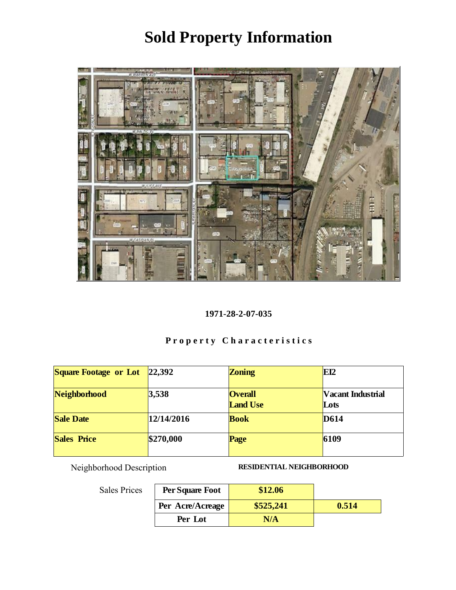

#### 1971-28-2-07-035

# Property Characteristics

| Square Footage or Lot | 22,392     | Zoning                            | EI2                       |
|-----------------------|------------|-----------------------------------|---------------------------|
| Neighborhood          | 3,538      | <b>Overall</b><br><b>Land Use</b> | Vacant Industrial<br>Lots |
| <b>Sale Date</b>      | 12/14/2016 | <b>Book</b>                       | D614                      |
| <b>Sales Price</b>    | \$270,000  | Page                              | 6109                      |

Neighborhood Description RESIDENTIAL NEIGHBORHOOD

| Per Square Foot  | \$12.06   |       |
|------------------|-----------|-------|
| Per Acre/Acreage | \$525,241 | 0.514 |
| Per Lot          | N/A       |       |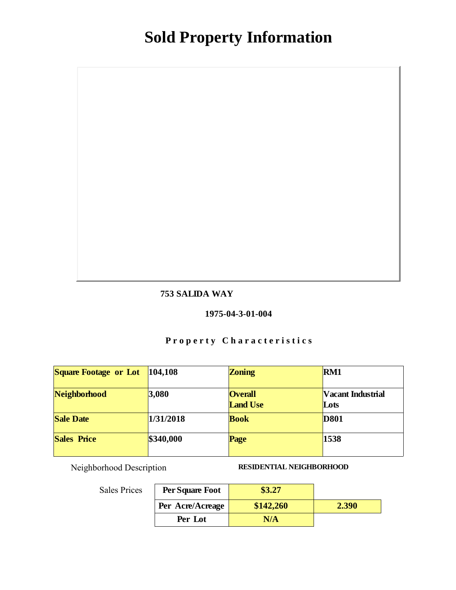#### 753 SALIDA WAY

#### 1975-04-3-01-004

## Property Characteristics

| Square Footage or Lot | 104,108   | Zoning                            | RM1                       |
|-----------------------|-----------|-----------------------------------|---------------------------|
| Neighborhood          | 3,080     | <b>Overall</b><br><b>Land Use</b> | Vacant Industrial<br>Lots |
| <b>Sale Date</b>      | 1/31/2018 | <b>Book</b>                       | D801                      |
| Sales Price           | \$340,000 | Page                              | 1538                      |

Neighborhood Description RESIDENTIAL NEIGHBORHOOD

| Per Square Foot  | \$3.27    |       |
|------------------|-----------|-------|
| Per Acre/Acreage | \$142,260 | 2.390 |
| Per Lot          | N/A       |       |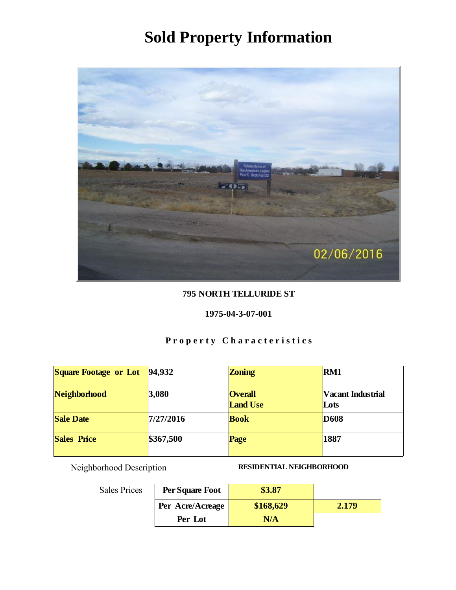

#### 795 NORTH TELLURIDE ST

#### 1975-04-3-07-001

## Property Characteristics

| <b>Square Footage or Lot</b> | 94,932    | Zoning                            | RM1                       |
|------------------------------|-----------|-----------------------------------|---------------------------|
| Neighborhood                 | 3,080     | <b>Overall</b><br><b>Land Use</b> | Vacant Industrial<br>Lots |
| <b>Sale Date</b>             | 7/27/2016 | <b>Book</b>                       | D <sub>608</sub>          |
| <b>Sales Price</b>           | \$367,500 | Page                              | 1887                      |

Sales Prices

Neighborhood Description RESIDENTIAL NEIGHBORHOOD

| Per Square Foot  | \$3.87    |       |
|------------------|-----------|-------|
| Per Acre/Acreage | \$168,629 | 2.179 |
| Per Lot          | N/A       |       |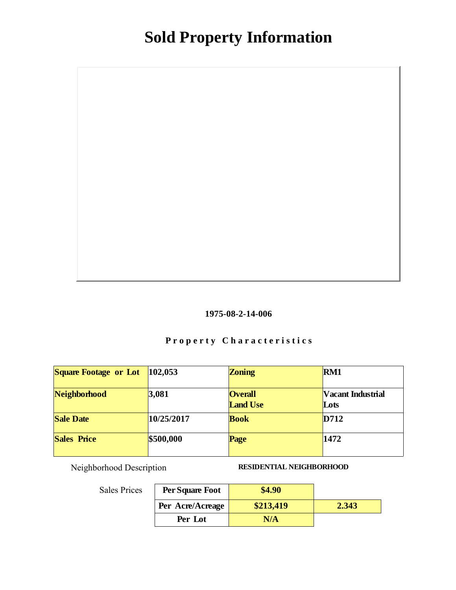

## Property Characteristics

| Square Footage or Lot | 102,053    | Zoning                            | RM <sub>1</sub>           |
|-----------------------|------------|-----------------------------------|---------------------------|
| Neighborhood          | 3,081      | <b>Overall</b><br><b>Land Use</b> | Vacant Industrial<br>Lots |
| <b>Sale Date</b>      | 10/25/2017 | <b>Book</b>                       | D712                      |
| Sales Price           | \$500,000  | Page                              | 1472                      |

Neighborhood Description RESIDENTIAL NEIGHBORHOOD

| Per Square Foot  | \$4.90    |       |
|------------------|-----------|-------|
| Per Acre/Acreage | \$213,419 | 2.343 |
| Per Lot          | N/A       |       |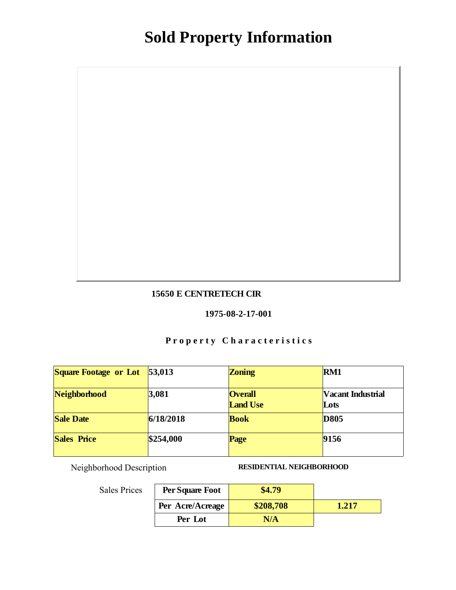#### 15650 E CENTRETECH CIR

#### 1975-08-2-17-001

## Property Characteristics

| Square Footage or Lot | 53,013    | Zoning                            | RM1                       |
|-----------------------|-----------|-----------------------------------|---------------------------|
| Neighborhood          | 3,081     | <b>Overall</b><br><b>Land Use</b> | Vacant Industrial<br>Lots |
| <b>Sale Date</b>      | 6/18/2018 | <b>Book</b>                       | D805                      |
| Sales Price           | \$254,000 | Page                              | 9156                      |

Neighborhood Description RESIDENTIAL NEIGHBORHOOD

| Per Square Foot  | .4.79     |       |
|------------------|-----------|-------|
| Per Acre/Acreage | \$208,708 | 1.217 |
| Per Lot          | N/A       |       |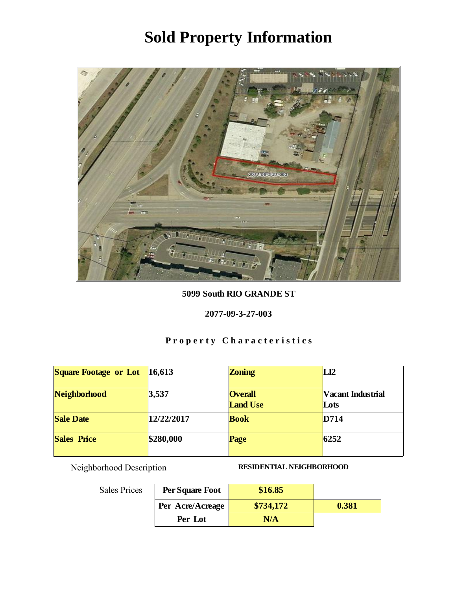

5099 South RIO GRANDE ST

2077-09-3-27-003

## Property Characteristics

| Square Footage or Lot | 16,613     | Zoning                            | LI2                       |
|-----------------------|------------|-----------------------------------|---------------------------|
| Neighborhood          | 3,537      | <b>Overall</b><br><b>Land Use</b> | Vacant Industrial<br>Lots |
| <b>Sale Date</b>      | 12/22/2017 | <b>Book</b>                       | D714                      |
| <b>Sales Price</b>    | \$280,000  | Page                              | 6252                      |

Neighborhood Description RESIDENTIAL NEIGHBORHOOD

| Per Square Foot  | \$16.85   |       |
|------------------|-----------|-------|
| Per Acre/Acreage | \$734,172 | 0.381 |
| Per Lot          | N/A       |       |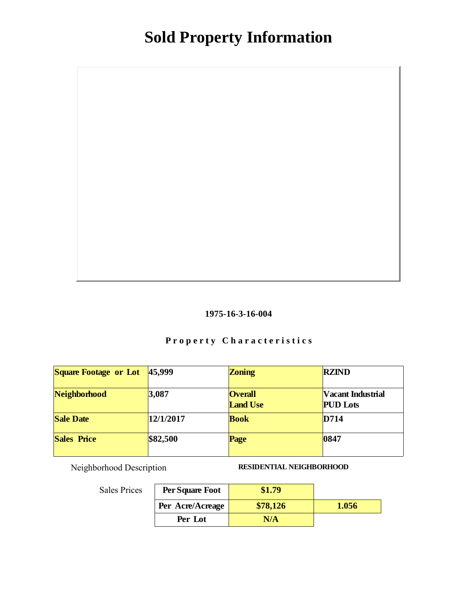

## Property Characteristics

| <b>Square Footage or Lot</b> | 45,999    | Zoning                            | <b>RZIND</b>                         |
|------------------------------|-----------|-----------------------------------|--------------------------------------|
| Neighborhood                 | 3,087     | <b>Overall</b><br><b>Land Use</b> | Vacant Industrial<br><b>PUD</b> Lots |
| Sale Date                    | 12/1/2017 | <b>Book</b>                       | D714                                 |
| <b>Sales Price</b>           | \$82,500  | Page                              | 0847                                 |

Neighborhood Description RESIDENTIAL NEIGHBORHOOD

| Per Square Foot  |          |       |
|------------------|----------|-------|
| Per Acre/Acreage | \$78,126 | 1.056 |
| Per Lot          | N/A      |       |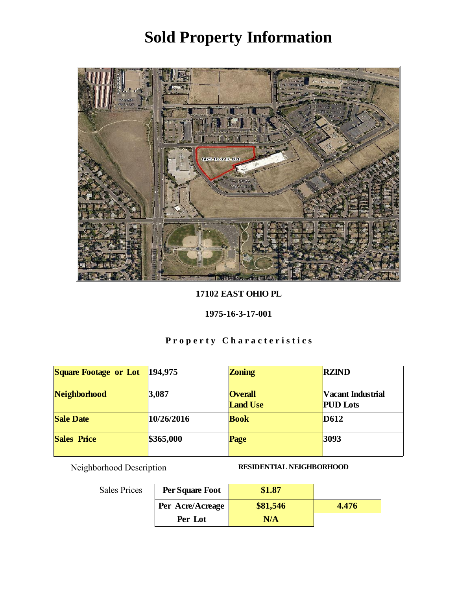

17102 EAST OHIO PL

1975-16-3-17-001

# Property Characteristics

| Square Footage or Lot | 194,975    | Zoning                            | <b>RZIND</b>                         |
|-----------------------|------------|-----------------------------------|--------------------------------------|
| Neighborhood          | 3,087      | <b>Overall</b><br><b>Land Use</b> | Vacant Industrial<br><b>PUD</b> Lots |
| <b>Sale Date</b>      | 10/26/2016 | <b>Book</b>                       | D612                                 |
| <b>Sales Price</b>    | \$365,000  | Page                              | 3093                                 |

Neighborhood Description RESIDENTIAL NEIGHBORHOOD

| Per Square Foot  | \$1.87   |       |
|------------------|----------|-------|
| Per Acre/Acreage | \$81,546 | 4.476 |
| Per Lot          | N/A      |       |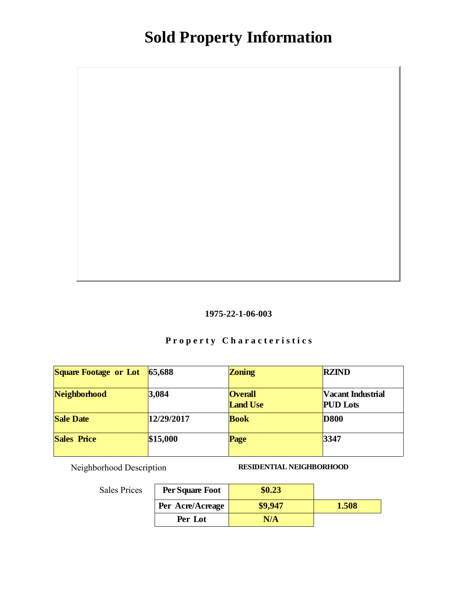

## Property Characteristics

| Square Footage or Lot | 65,688     | Zoning                            | <b>RZIND</b>                         |
|-----------------------|------------|-----------------------------------|--------------------------------------|
| Neighborhood          | 3,084      | <b>Overall</b><br><b>Land Use</b> | Vacant Industrial<br><b>PUD</b> Lots |
| <b>Sale Date</b>      | 12/29/2017 | <b>Book</b>                       | <b>D800</b>                          |
| <b>Sales Price</b>    | \$15,000   | Page                              | 3347                                 |

Neighborhood Description RESIDENTIAL NEIGHBORHOOD

| S | Per Square Foot  | \$0.23  |       |
|---|------------------|---------|-------|
|   | Per Acre/Acreage | \$9.947 | 1.508 |
|   | Per Lot          | N/A     |       |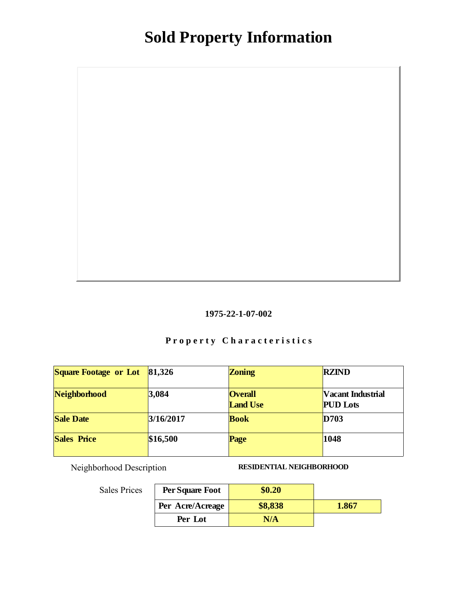

## Property Characteristics

| <b>Square Footage or Lot</b> | 81,326    | Zoning                            | <b>RZIND</b>                         |
|------------------------------|-----------|-----------------------------------|--------------------------------------|
| Neighborhood                 | 3,084     | <b>Overall</b><br><b>Land Use</b> | Vacant Industrial<br><b>PUD</b> Lots |
| Sale Date                    | 3/16/2017 | <b>Book</b>                       | D703                                 |
| <b>Sales Price</b>           | \$16,500  | Page                              | 1048                                 |

Neighborhood Description RESIDENTIAL NEIGHBORHOOD

| S | Per Square Foot  | \$0.20  |       |
|---|------------------|---------|-------|
|   | Per Acre/Acreage | \$8,838 | 1.867 |
|   | Per Lot          | N/A     |       |